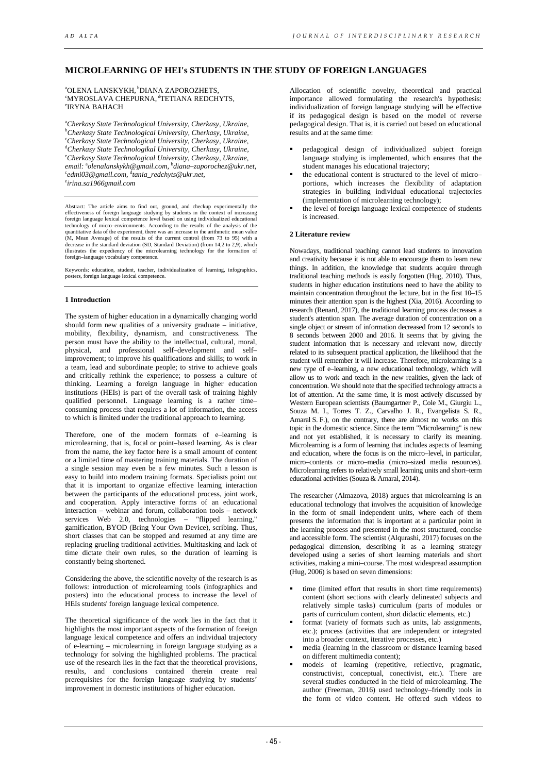# **MICROLEARNING OF HEI's STUDENTS IN THE STUDY OF FOREIGN LANGUAGES**

<sup>a</sup>OLENA LANSKYKH, <sup>b</sup>DIANA ZAPOROZHETS, "MYROSLAVA CHEPURNA, <sup>d</sup>TETIANA REDCHYTS, e IRYNA BAHACH

a *Cherkasy State Technological University, Cherkasy, Ukraine,* b *Cherkasy State Technological University, Cherkasy, Ukraine,* c *Cherkasy State Technological University, Cherkasy, Ukraine,* d *Cherkasy State Technologikal University, Cherkasy, Ukraine,* e *Cherkasy State Technological University, Cherkasy, Ukraine, email:*  a *olenalanskykh@gmail.com,* <sup>b</sup> *diana–zaporochez@ukr.net,* c *edmi03@gmail.com,* <sup>d</sup> *tania\_redchyts@ukr.net,* e *irina.sa1966gmail.com*

Abstract: The article aims to find out, ground, and checkup experimentally the effectiveness of foreign language studying by students in the context of increasing foreign language lexical competence level based on using individualized educational technology of micro–environments. According to the results of the analysis of the quantitative data of the experiment, there was an increase in the arithmetic mean value (M, Mean Average) of the results of the current control (from 73 to 95) with a decrease in the standard deviation (SD, Standard Deviation) (from 14,2 to 2,9), which illustrates the expediency of the microlearning technology for the formation of foreign–language vocabulary competence.

Keywords: education, student, teacher, individualization of learning, infographics, posters, foreign language lexical competence.

## **1 Introduction**

The system of higher education in a dynamically changing world should form new qualities of a university graduate – initiative, mobility, flexibility, dynamism, and constructiveness. The person must have the ability to the intellectual, cultural, moral, physical, and professional self–development and self– improvement; to improve his qualifications and skills; to work in a team, lead and subordinate people; to strive to achieve goals and critically rethink the experience; to possess a culture of thinking. Learning a foreign language in higher education institutions (HEIs) is part of the overall task of training highly qualified personnel. Language learning is a rather time– consuming process that requires a lot of information, the access to which is limited under the traditional approach to learning.

Therefore, one of the modern formats of e–learning is microlearning, that is, focal or point–based learning. As is clear from the name, the key factor here is a small amount of content or a limited time of mastering training materials. The duration of a single session may even be a few minutes. Such a lesson is easy to build into modern training formats. Specialists point out that it is important to organize effective learning interaction between the participants of the educational process, joint work, and cooperation. Apply interactive forms of an educational interaction – webinar and forum, collaboration tools – network<br>services Web 2.0, technologies – "flipped learning." services Web 2.0, technologies  $$ gamification, BYOD (Bring Your Own Device), scribing. Thus, short classes that can be stopped and resumed at any time are replacing grueling traditional activities. Multitasking and lack of time dictate their own rules, so the duration of learning is constantly being shortened.

Considering the above, the scientific novelty of the research is as follows: introduction of microlearning tools (infographics and posters) into the educational process to increase the level of HEIs students' foreign language lexical competence.

The theoretical significance of the work lies in the fact that it highlights the most important aspects of the formation of foreign language lexical competence and offers an individual trajectory of e-learning – microlearning in foreign language studying as a technology for solving the highlighted problems. The practical use of the research lies in the fact that the theoretical provisions, results, and conclusions contained therein create real prerequisites for the foreign language studying by students' improvement in domestic institutions of higher education.

Allocation of scientific novelty, theoretical and practical importance allowed formulating the research's hypothesis: individualization of foreign language studying will be effective if its pedagogical design is based on the model of reverse pedagogical design. That is, it is carried out based on educational results and at the same time:

- pedagogical design of individualized subject foreign language studying is implemented, which ensures that the student manages his educational trajectory;
- the educational content is structured to the level of micro– portions, which increases the flexibility of adaptation strategies in building individual educational trajectories (implementation of microlearning technology);
- the level of foreign language lexical competence of students is increased.

## **2 Literature review**

Nowadays, traditional teaching cannot lead students to innovation and creativity because it is not able to encourage them to learn new things. In addition, the knowledge that students acquire through traditional teaching methods is easily forgotten (Hug, 2010). Thus, students in higher education institutions need to have the ability to maintain concentration throughout the lecture, but in the first 10–15 minutes their attention span is the highest (Xia, 2016). According to research (Renard, 2017), the traditional learning process decreases a student's attention span. The average duration of concentration on a single object or stream of information decreased from 12 seconds to 8 seconds between 2000 and 2016. It seems that by giving the student information that is necessary and relevant now, directly related to its subsequent practical application, the likelihood that the student will remember it will increase. Therefore, microlearning is a new type of e–learning, a new educational technology, which will allow us to work and teach in the new realities, given the lack of concentration. We should note that the specified technology attracts a lot of attention. At the same time, it is most actively discussed by Western European scientists (Baumgartner P., Cole M., Giurgiu L., Souza M. I., Torres T. Z., Carvalho J. R., Evangelista S. R., Amaral S. F.), on the contrary, there are almost no works on this topic in the domestic science. Since the term "Microlearning" is new and not yet established, it is necessary to clarify its meaning. Microlearning is a form of learning that includes aspects of learning and education, where the focus is on the micro–level, in particular, micro–contents or micro–media (micro–sized media resources). Microlearning refers to relatively small learning units and short–term educational activities (Souza & Amaral, 2014).

The researcher (Almazova, 2018) argues that microlearning is an educational technology that involves the acquisition of knowledge in the form of small independent units, where each of them presents the information that is important at a particular point in the learning process and presented in the most structured, concise and accessible form. The scientist (Alqurashi, 2017) focuses on the pedagogical dimension, describing it as a learning strategy developed using a series of short learning materials and short activities, making a mini–course. The most widespread assumption (Hug, 2006) is based on seven dimensions:

- time (limited effort that results in short time requirements) content (short sections with clearly delineated subjects and relatively simple tasks) curriculum (parts of modules or parts of curriculum content, short didactic elements, etc.)
- format (variety of formats such as units, lab assignments, etc.); process (activities that are independent or integrated into a broader context, iterative processes, etc.)
- media (learning in the classroom or distance learning based on different multimedia content);
- models of learning (repetitive, reflective, pragmatic, constructivist, conceptual, conectivist, etc.). There are several studies conducted in the field of microlearning. The author (Freeman, 2016) used technology–friendly tools in the form of video content. He offered such videos to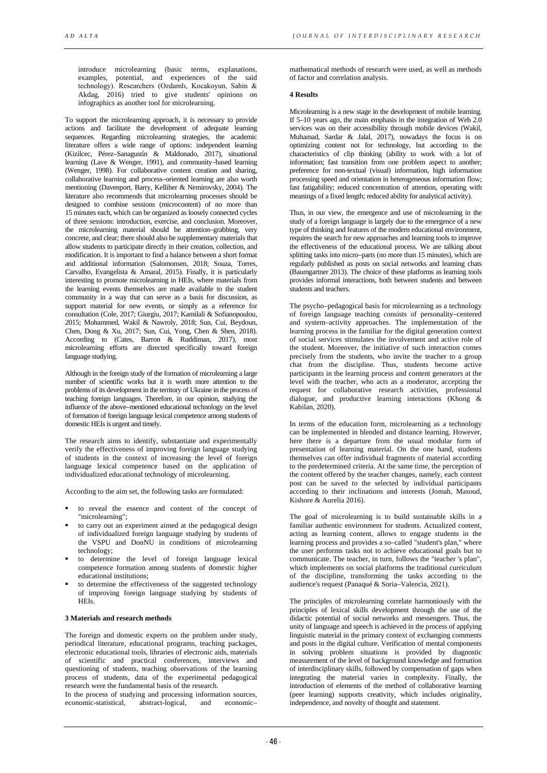introduce microlearning (basic terms, explanations, examples, potential, and experiences of the said technology). Researchers (Ozdamlı, Kocakoyun, Sahin & Akdag, 2016) tried to give students' opinions on infographics as another tool for microlearning.

To support the microlearning approach, it is necessary to provide actions and facilitate the development of adequate learning sequences. Regarding microlearning strategies, the academic literature offers a wide range of options: independent learning (Kizilcec, Pérez–Sanagustín & Maldonado, 2017), situational learning (Lave & Wenger, 1991), and community–based learning (Wenger, 1998). For collaborative content creation and sharing, collaborative learning and process–oriented learning are also worth mentioning (Davenport, Barry, Kelliher & Nemirovsky, 2004). The literature also recommends that microlearning processes should be designed to combine sessions (microcontent) of no more than 15 minutes each, which can be organized as loosely connected cycles of three sessions: introduction, exercise, and conclusion. Moreover, the microlearning material should be attention–grabbing, very concrete, and clear; there should also be supplementary materials that allow students to participate directly in their creation, collection, and modification. It is important to find a balance between a short format and additional information (Salomonsen, 2018; Souza, Torres, Carvalho, Evangelista & Amaral, 2015). Finally, it is particularly interesting to promote microlearning in HEIs, where materials from the learning events themselves are made available to the student community in a way that can serve as a basis for discussion, as support material for new events, or simply as a reference for consultation (Cole, 2017; Giurgiu, 2017; Kamilali & Sofianopoulou, 2015; Mohammed, Wakil & Nawroly, 2018; Sun, Cui, Beydoun, Chen, Dong & Xu, 2017; Sun, Cui, Yong, Chen & Shen, 2018). According to (Cates, Barron & Ruddiman, 2017), most microlearning efforts are directed specifically toward foreign language studying.

Although in the foreign study of the formation of microlearning a large number of scientific works but it is worth more attention to the problems of its development in the territory of Ukraine in the process of teaching foreign languages. Therefore, in our opinion, studying the influence of the above–mentioned educational technology on the level of formation of foreign language lexical competence among students of domestic HEIs is urgent and timely.

The research aims to identify, substantiate and experimentally verify the effectiveness of improving foreign language studying of students in the context of increasing the level of foreign language lexical competence based on the application of individualized educational technology of microlearning.

According to the aim set, the following tasks are formulated:

- to reveal the essence and content of the concept of "microlearning";
- to carry out an experiment aimed at the pedagogical design of individualized foreign language studying by students of the VSPU and DonNU in conditions of microlearning technology;
- to determine the level of foreign language lexical competence formation among students of domestic higher educational institutions;
- to determine the effectiveness of the suggested technology of improving foreign language studying by students of HEIs.

#### **3 Materials and research methods**

The foreign and domestic experts on the problem under study, periodical literature, educational programs, teaching packages, electronic educational tools, libraries of electronic aids, materials of scientific and practical conferences, interviews and questioning of students, teaching observations of the learning process of students, data of the experimental pedagogical research were the fundamental basis of the research.

In the process of studying and processing information sources,<br>economic-statistical, abstract-logical and economiceconomic-statistical, abstract-logical, and

mathematical methods of research were used, as well as methods of factor and correlation analysis.

## **4 Results**

Microlearning is a new stage in the development of mobile learning. If 5–10 years ago, the main emphasis in the integration of Web 2.0 services was on their accessibility through mobile devices (Wakil, Muhamad, Sardar & Jalal, 2017), nowadays the focus is on optimizing content not for technology, but according to the characteristics of clip thinking (ability to work with a lot of information; fast transition from one problem aspect to another; preference for non-textual (visual) information, high information processing speed and orientation in heterogeneous information flow; fast fatigability; reduced concentration of attention, operating with meanings of a fixed length; reduced ability for analytical activity).

Thus, in our view, the emergence and use of microlearning in the study of a foreign language is largely due to the emergence of a new type of thinking and features of the modern educational environment, requires the search for new approaches and learning tools to improve the effectiveness of the educational process. We are talking about splitting tasks into micro–parts (no more than 15 minutes), which are regularly published as posts on social networks and learning chats (Baumgartner 2013). The choice of these platforms as learning tools provides informal interactions, both between students and between students and teachers.

The psycho–pedagogical basis for microlearning as a technology of foreign language teaching consists of personality–centered and system–activity approaches. The implementation of the learning process in the familiar for the digital generation context of social services stimulates the involvement and active role of the student. Moreover, the initiative of such interaction comes precisely from the students, who invite the teacher to a group chat from the discipline. Thus, students become active participants in the learning process and content generators at the level with the teacher, who acts as a moderator, accepting the request for collaborative research activities, professional dialogue, and productive learning interactions (Khong & Kabilan, 2020).

In terms of the education form, microlearning as a technology can be implemented in blended and distance learning. However, here there is a departure from the usual modular form of presentation of learning material. On the one hand, students themselves can offer individual fragments of material according to the predetermined criteria. At the same time, the perception of the content offered by the teacher changes, namely, each content post can be saved to the selected by individual participants according to their inclinations and interests (Jomah, Masoud, Kishore & Aurelia 2016).

The goal of microlearning is to build sustainable skills in a familiar authentic environment for students. Actualized content, acting as learning content, allows to engage students in the learning process and provides a so–called "student's plan," where the user performs tasks not to achieve educational goals but to communicate. The teacher, in turn, follows the "teacher 's plan", which implements on social platforms the traditional curriculum of the discipline, transforming the tasks according to the audience's request (Panaqué & Soria–Valencia, 2021).

The principles of microlearning correlate harmoniously with the principles of lexical skills development through the use of the didactic potential of social networks and messengers. Thus, the unity of language and speech is achieved in the process of applying linguistic material in the primary context of exchanging comments and posts in the digital culture. Verification of mental components in solving problem situations is provided by diagnostic measurement of the level of background knowledge and formation of interdisciplinary skills, followed by compensation of gaps when integrating the material varies in complexity. Finally, the introduction of elements of the method of collaborative learning (peer learning) supports creativity, which includes originality, independence, and novelty of thought and statement.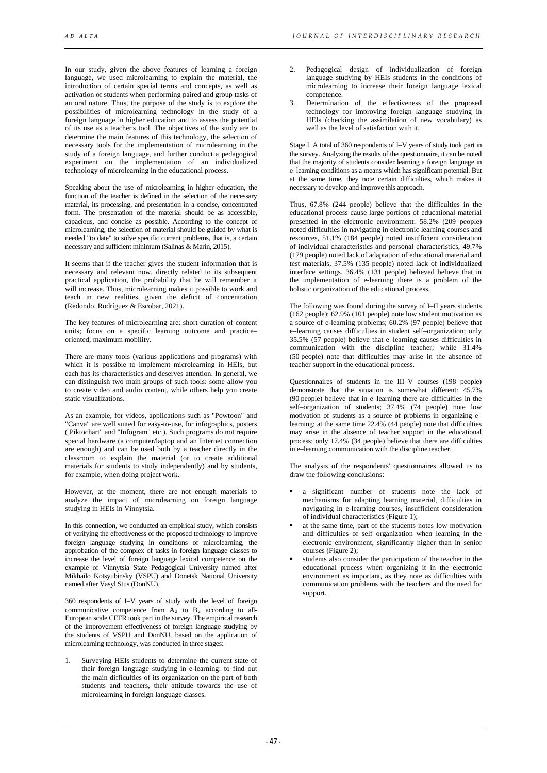In our study, given the above features of learning a foreign language, we used microlearning to explain the material, the introduction of certain special terms and concepts, as well as activation of students when performing paired and group tasks of an oral nature. Thus, the purpose of the study is to explore the possibilities of microlearning technology in the study of a foreign language in higher education and to assess the potential of its use as a teacher's tool. The objectives of the study are to determine the main features of this technology, the selection of necessary tools for the implementation of microlearning in the study of a foreign language, and further conduct a pedagogical experiment on the implementation of an individualized technology of microlearning in the educational process.

Speaking about the use of microlearning in higher education, the function of the teacher is defined in the selection of the necessary material, its processing, and presentation in a concise, concentrated form. The presentation of the material should be as accessible, capacious, and concise as possible. According to the concept of microlearning, the selection of material should be guided by what is needed "to date" to solve specific current problems, that is, a certain necessary and sufficient minimum (Salinas & Marín, 2015).

It seems that if the teacher gives the student information that is necessary and relevant now, directly related to its subsequent practical application, the probability that he will remember it will increase. Thus, microlearning makes it possible to work and teach in new realities, given the deficit of concentration (Redondo, Rodríguez & Escobar, 2021).

The key features of microlearning are: short duration of content units; focus on a specific learning outcome and practice– oriented; maximum mobility.

There are many tools (various applications and programs) with which it is possible to implement microlearning in HEIs, but each has its characteristics and deserves attention. In general, we can distinguish two main groups of such tools: some allow you to create video and audio content, while others help you create static visualizations.

As an example, for videos, applications such as "Powtoon" and "Canva" are well suited for easy-to-use, for infographics, posters ( Piktochart" and "Infogram" etc.). Such programs do not require special hardware (a computer/laptop and an Internet connection are enough) and can be used both by a teacher directly in the classroom to explain the material (or to create additional materials for students to study independently) and by students, for example, when doing project work.

However, at the moment, there are not enough materials to analyze the impact of microlearning on foreign language studying in HEIs in Vinnytsia.

In this connection, we conducted an empirical study, which consists of verifying the effectiveness of the proposed technology to improve foreign language studying in conditions of microlearning, the approbation of the complex of tasks in foreign language classes to increase the level of foreign language lexical competence on the example of Vinnytsia State Pedagogical University named after Mikhailo Kotsyubinsky (VSPU) and Donetsk National University named after Vasyl Stus (DonNU).

360 respondents of I–V years of study with the level of foreign communicative competence from  $A_2$  to  $B_2$  according to all-European scale CEFR took part in the survey. The empirical research of the improvement effectiveness of foreign language studying by the students of VSPU and DonNU, based on the application of microlearning technology, was conducted in three stages:

1. Surveying HEIs students to determine the current state of their foreign language studying in e-learning: to find out the main difficulties of its organization on the part of both students and teachers, their attitude towards the use of microlearning in foreign language classes.

- 2. Pedagogical design of individualization of foreign language studying by HEIs students in the conditions of microlearning to increase their foreign language lexical competence.
- 3. Determination of the effectiveness of the proposed technology for improving foreign language studying in HEIs (checking the assimilation of new vocabulary) as well as the level of satisfaction with it.

Stage I. A total of 360 respondents of I–V years of study took part in the survey. Analyzing the results of the questionnaire, it can be noted that the majority of students consider learning a foreign language in e–learning conditions as a means which has significant potential. But at the same time, they note certain difficulties, which makes it necessary to develop and improve this approach.

Thus, 67.8% (244 people) believe that the difficulties in the educational process cause large portions of educational material presented in the electronic environment: 58.2% (209 people) noted difficulties in navigating in electronic learning courses and resources, 51.1% (184 people) noted insufficient consideration of individual characteristics and personal characteristics, 49.7% (179 people) noted lack of adaptation of educational material and test materials, 37.5% (135 people) noted lack of individualized interface settings, 36.4% (131 people) believed believe that in the implementation of e-learning there is a problem of the holistic organization of the educational process.

The following was found during the survey of I–II years students (162 people): 62.9% (101 people) note low student motivation as a source of e-learning problems; 60.2% (97 people) believe that e–learning causes difficulties in student self–organization; only 35.5% (57 people) believe that e–learning causes difficulties in communication with the discipline teacher; while 31.4% (50 people) note that difficulties may arise in the absence of teacher support in the educational process.

Questionnaires of students in the III–V courses (198 people) demonstrate that the situation is somewhat different: 45.7% (90 people) believe that in e–learning there are difficulties in the self–organization of students; 37.4% (74 people) note low motivation of students as a source of problems in organizing e– learning; at the same time 22.4% (44 people) note that difficulties may arise in the absence of teacher support in the educational process; only 17.4% (34 people) believe that there are difficulties in e–learning communication with the discipline teacher.

The analysis of the respondents' questionnaires allowed us to draw the following conclusions:

- a significant number of students note the lack of mechanisms for adapting learning material, difficulties in navigating in e-learning courses, insufficient consideration of individual characteristics (Figure 1);
- at the same time, part of the students notes low motivation and difficulties of self–organization when learning in the electronic environment, significantly higher than in senior courses (Figure 2);
- students also consider the participation of the teacher in the educational process when organizing it in the electronic environment as important, as they note as difficulties with communication problems with the teachers and the need for support.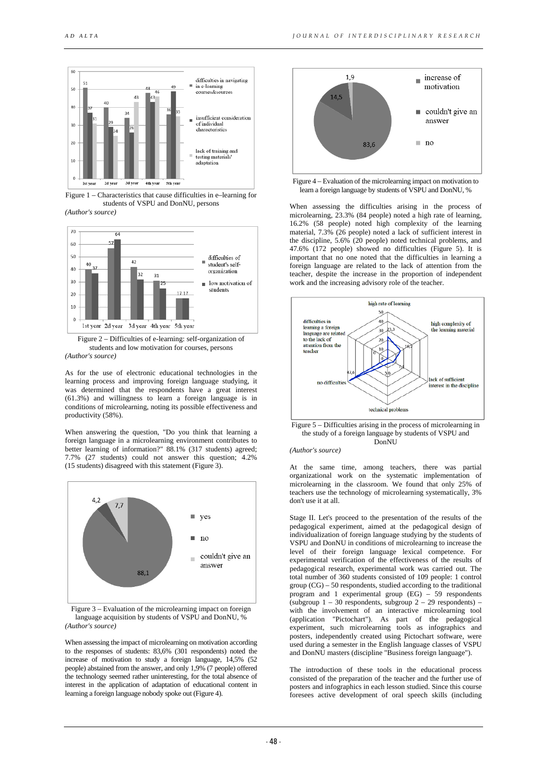

Figure 1 – Characteristics that cause difficulties in e–learning for students of VSPU and DonNU, persons *(Author's source)* 





As for the use of electronic educational technologies in the learning process and improving foreign language studying, it was determined that the respondents have a great interest (61.3%) and willingness to learn a foreign language is in conditions of microlearning, noting its possible effectiveness and productivity (58%).

When answering the question, "Do you think that learning a foreign language in a microlearning environment contributes to better learning of information?" 88.1% (317 students) agreed; 7.7% (27 students) could not answer this question; 4.2% (15 students) disagreed with this statement (Figure 3).



Figure 3 – Evaluation of the microlearning impact on foreign language acquisition by students of VSPU and DonNU, % *(Author's source)*

When assessing the impact of microlearning on motivation according to the responses of students: 83,6% (301 respondents) noted the increase of motivation to study a foreign language, 14,5% (52 people) abstained from the answer, and only 1,9% (7 people) offered the technology seemed rather uninteresting, for the total absence of interest in the application of adaptation of educational content in learning a foreign language nobody spoke out (Figure 4).



Figure 4 – Evaluation of the microlearning impact on motivation to learn a foreign language by students of VSPU and DonNU, %

When assessing the difficulties arising in the process of microlearning, 23.3% (84 people) noted a high rate of learning, 16.2% (58 people) noted high complexity of the learning material, 7.3% (26 people) noted a lack of sufficient interest in the discipline, 5.6% (20 people) noted technical problems, and 47.6% (172 people) showed no difficulties (Figure 5). It is important that no one noted that the difficulties in learning a foreign language are related to the lack of attention from the teacher, despite the increase in the proportion of independent work and the increasing advisory role of the teacher.



Figure 5 – Difficulties arising in the process of microlearning in the study of a foreign language by students of VSPU and DonNU *(Author's source)*

At the same time, among teachers, there was partial organizational work on the systematic implementation of microlearning in the classroom. We found that only 25% of teachers use the technology of microlearning systematically, 3% don't use it at all.

Stage II. Let's proceed to the presentation of the results of the pedagogical experiment, aimed at the pedagogical design of individualization of foreign language studying by the students of VSPU and DonNU in conditions of microlearning to increase the level of their foreign language lexical competence. For experimental verification of the effectiveness of the results of pedagogical research, experimental work was carried out. The total number of 360 students consisted of 109 people: 1 control group (CG) – 50 respondents, studied according to the traditional program and 1 experimental group (EG) – 59 respondents (subgroup  $1 - 30$  respondents, subgroup  $2 - 29$  respondents) – with the involvement of an interactive microlearning tool (application "Pictochart"). As part of the pedagogical experiment, such microlearning tools as infographics and posters, independently created using Pictochart software, were used during a semester in the English language classes of VSPU and DonNU masters (discipline "Business foreign language").

The introduction of these tools in the educational process consisted of the preparation of the teacher and the further use of posters and infographics in each lesson studied. Since this course foresees active development of oral speech skills (including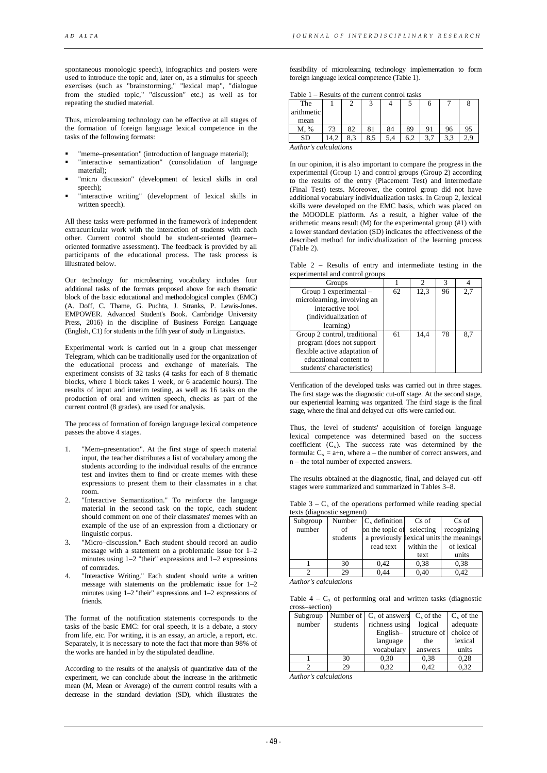spontaneous monologic speech), infographics and posters were used to introduce the topic and, later on, as a stimulus for speech exercises (such as "brainstorming," "lexical map", "dialogue from the studied topic," "discussion" etc.) as well as for repeating the studied material.

Thus, microlearning technology can be effective at all stages of the formation of foreign language lexical competence in the tasks of the following formats:

- "meme–presentation" (introduction of language material);
- "interactive semantization" (consolidation of language material);
- "micro discussion" (development of lexical skills in oral speech);
- "interactive writing" (development of lexical skills in written speech).

All these tasks were performed in the framework of independent extracurricular work with the interaction of students with each other. Current control should be student-oriented (learner– oriented formative assessment). The feedback is provided by all participants of the educational process. The task process is illustrated below.

Our technology for microlearning vocabulary includes four additional tasks of the formats proposed above for each thematic block of the basic educational and methodological complex (EMC) (A. Doff, C. Thame, G. Puchta, J. Stranks, P. Lewis-Jones. EMPOWER. Advanced Student's Book. Cambridge University Press, 2016) in the discipline of Business Foreign Language (English, C1) for students in the fifth year of study in Linguistics.

Experimental work is carried out in a group chat messenger Telegram, which can be traditionally used for the organization of the educational process and exchange of materials. The experiment consists of 32 tasks (4 tasks for each of 8 thematic blocks, where 1 block takes 1 week, or 6 academic hours). The results of input and interim testing, as well as 16 tasks on the production of oral and written speech, checks as part of the current control (8 grades), are used for analysis.

The process of formation of foreign language lexical competence passes the above 4 stages.

- 1. "Mem–presentation". At the first stage of speech material input, the teacher distributes a list of vocabulary among the students according to the individual results of the entrance test and invites them to find or create memes with these expressions to present them to their classmates in a chat room.
- 2. "Interactive Semantization." To reinforce the language material in the second task on the topic, each student should comment on one of their classmates' memes with an example of the use of an expression from a dictionary or linguistic corpus.
- 3. "Micro–discussion." Each student should record an audio message with a statement on a problematic issue for 1–2 minutes using 1–2 "their" expressions and 1–2 expressions of comrades.
- 4. "Interactive Writing." Each student should write a written message with statements on the problematic issue for 1–2 minutes using 1–2 "their" expressions and 1–2 expressions of friends.

The format of the notification statements corresponds to the tasks of the basic EMC: for oral speech, it is a debate, a story from life, etc. For writing, it is an essay, an article, a report, etc. Separately, it is necessary to note the fact that more than 98% of the works are handed in by the stipulated deadline.

According to the results of the analysis of quantitative data of the experiment, we can conclude about the increase in the arithmetic mean (M, Mean or Average) of the current control results with a decrease in the standard deviation (SD), which illustrates the feasibility of microlearning technology implementation to form foreign language lexical competence (Table 1).

Table 1 – Results of the current control tasks

| The        |   |        |     |    |     |               |    |
|------------|---|--------|-----|----|-----|---------------|----|
| arithmetic |   |        |     |    |     |               |    |
| mean       |   |        |     |    |     |               |    |
| M, %       | J | 82     | 81  | 84 |     | 96            | 95 |
| SĽ         |   | $\sim$ | 8.5 |    | 6.2 | 3.3<br>$\sim$ | ۷. |

*Author's calculations*

In our opinion, it is also important to compare the progress in the experimental (Group 1) and control groups (Group 2) according to the results of the entry (Placement Test) and intermediate (Final Test) tests. Moreover, the control group did not have additional vocabulary individualization tasks. In Group 2, lexical skills were developed on the EMC basis, which was placed on the MOODLE platform. As a result, a higher value of the arithmetic means result (M) for the experimental group (#1) with a lower standard deviation (SD) indicates the effectiveness of the described method for individualization of the learning process (Table 2).

Table 2 – Results of entry and intermediate testing in the experimental and control groups

| Groups                        |    |      | 3  |     |
|-------------------------------|----|------|----|-----|
| Group 1 experimental -        | 62 | 12.3 | 96 | 2.7 |
| microlearning, involving an   |    |      |    |     |
| interactive tool              |    |      |    |     |
| (individualization of         |    |      |    |     |
| learning)                     |    |      |    |     |
| Group 2 control, traditional  | 61 | 14.4 | 78 | 8.7 |
| program (does not support)    |    |      |    |     |
| flexible active adaptation of |    |      |    |     |
| educational content to        |    |      |    |     |
| students' characteristics)    |    |      |    |     |

Verification of the developed tasks was carried out in three stages. The first stage was the diagnostic cut-off stage. At the second stage, our experiential learning was organized. The third stage is the final stage, where the final and delayed cut–offs were carried out.

Thus, the level of students' acquisition of foreign language lexical competence was determined based on the success coefficient  $(C_s)$ . The success rate was determined by the formula:  $C_s = a \div n$ , where a – the number of correct answers, and n – the total number of expected answers.

The results obtained at the diagnostic, final, and delayed cut–off stages were summarized and summarized in Tables 3–8.

Table  $3 - C_s$  of the operations performed while reading special texts (diagnostic segment)

| Subgroup | Number   | $C_s$ definition          | Cs of      | Cs of                                   |
|----------|----------|---------------------------|------------|-----------------------------------------|
| number   | of       | on the topic of selecting |            | recognizing                             |
|          | students |                           |            | a previously lexical units the meanings |
|          |          | read text                 | within the | of lexical                              |
|          |          |                           | text       | units                                   |
|          | 30       | 0,42                      | 0,38       | 0.38                                    |
|          | 29       | 0.44                      | 0.40       | 0.42                                    |

*Author's calculations*

Table  $4 - C_s$  of performing oral and written tasks (diagnostic cross–section)

| Subgroup |          | Number of $\mathcal{C}_s$ of answers $\mathcal{C}_s$ of the |                        | $C_s$ of the |
|----------|----------|-------------------------------------------------------------|------------------------|--------------|
| number   | students | richness using                                              | logical                | adequate     |
|          |          | English-                                                    | structure of choice of |              |
|          |          | language                                                    | the                    | lexical      |
|          |          | vocabulary                                                  | answers                | units        |
|          | 30       | 0.30                                                        | 0.38                   | 0.28         |
|          | 29       | 0.32                                                        | 0.42                   | 0.32         |

*Author's calculations*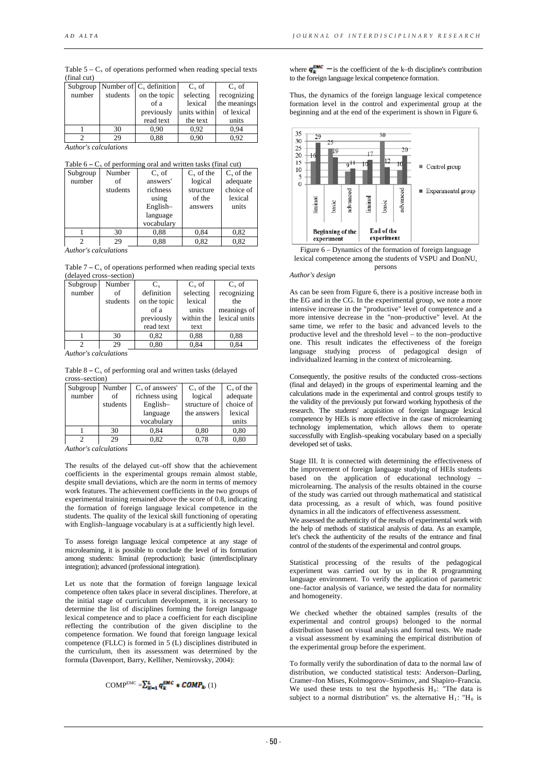| Table $5 - C_s$ of operations performed when reading special texts |  |  |  |
|--------------------------------------------------------------------|--|--|--|
| (final cut)                                                        |  |  |  |

|        |          | Subgroup   Number of $ C_s$ definition | $C_{s}$ of   | $C_{\rm c}$ of |
|--------|----------|----------------------------------------|--------------|----------------|
| number | students | on the topic                           | selecting    | recognizing    |
|        |          | of a                                   | lexical      | the meanings   |
|        |          | previously                             | units within | of lexical     |
|        |          | read text                              | the text     | units          |
|        | 30       | 0.90                                   | 0.92         | 0.94           |
|        | 29       | 0.88                                   | 0.90         | 0.92           |

*Author's calculations*

|  | Table $6 - C_s$ of performing oral and written tasks (final cut) |  |
|--|------------------------------------------------------------------|--|
|  |                                                                  |  |

| Subgroup | Number   | $C_{s}$ of | $Cs$ of the | $Cs$ of the |
|----------|----------|------------|-------------|-------------|
| number   | of       | answers'   | logical     | adequate    |
|          | students | richness   | structure   | choice of   |
|          |          | using      | of the      | lexical     |
|          |          | English-   | answers     | units       |
|          |          | language   |             |             |
|          |          | vocabulary |             |             |
|          | 30       | 0.88       | 0.84        | 0,82        |
|          | 29       | 0.88       | 0.82        | 0.82        |

*Author's calculations*

Table  $7 - C_s$  of operations performed when reading special texts (delayed cross–section)

| Subgroup | Number   | $\mathbf{C}$ . | $C_{s}$ of | $C_{s}$ of    |
|----------|----------|----------------|------------|---------------|
| number   | of       | definition     | selecting  | recognizing   |
|          | students | on the topic   | lexical    | the           |
|          |          | of a           | units      | meanings of   |
|          |          | previously     | within the | lexical units |
|          |          | read text      | text       |               |
|          | 30       | 0,82           | 0.88       | 0.88          |
|          | 29       | 0.80           | 0.84       | 0.84          |

*Author's calculations*

Table  $8 - C_s$  of performing oral and written tasks (delayed cross–section)

| Subgroup | Number   | $C_s$ of answers' | $C_s$ of the | $C_s$ of the |
|----------|----------|-------------------|--------------|--------------|
| number   | of       | richness using    | logical      | adequate     |
|          | students | $English-$        | structure of | choice of    |
|          |          | language          | the answers  | lexical      |
|          |          | vocabulary        |              | units        |
|          | 30       | 0,84              | 0.80         | 0,80         |
|          | 29       | 0,82              | 0.78         | 0.80         |

*Author's calculations*

The results of the delayed cut–off show that the achievement coefficients in the experimental groups remain almost stable, despite small deviations, which are the norm in terms of memory work features. The achievement coefficients in the two groups of experimental training remained above the score of 0.8, indicating the formation of foreign language lexical competence in the students. The quality of the lexical skill functioning of operating with English–language vocabulary is at a sufficiently high level.

To assess foreign language lexical competence at any stage of microlearning, it is possible to conclude the level of its formation among students: liminal (reproduction); basic (interdisciplinary integration); advanced (professional integration).

Let us note that the formation of foreign language lexical competence often takes place in several disciplines. Therefore, at the initial stage of curriculum development, it is necessary to determine the list of disciplines forming the foreign language lexical competence and to place a coefficient for each discipline reflecting the contribution of the given discipline to the competence formation. We found that foreign language lexical competence (FLLC) is formed in 5 (L) disciplines distributed in the curriculum, then its assessment was determined by the formula (Davenport, Barry, Kelliher, Nemirovsky, 2004):

$$
\text{COMP}^{\text{EMC}} = \sum_{\mathbf{K} = 1}^{\mathbf{L}} \mathbf{q}_{\mathbf{K}}^{\text{EMC}} \cdot \text{COMP}_{\mathbf{k}}(1)
$$

where  $q_k^{\text{EMC}}$  – is the coefficient of the k–th discipline's contribution to the foreign language lexical competence formation.

Thus, the dynamics of the foreign language lexical competence formation level in the control and experimental group at the beginning and at the end of the experiment is shown in Figure 6.





#### *Author's design*

As can be seen from Figure 6, there is a positive increase both in the EG and in the CG. In the experimental group, we note a more intensive increase in the "productive" level of competence and a more intensive decrease in the "non–productive" level. At the same time, we refer to the basic and advanced levels to the productive level and the threshold level – to the non–productive one. This result indicates the effectiveness of the foreign language studying process of pedagogical design of individualized learning in the context of microlearning.

Consequently, the positive results of the conducted cross–sections (final and delayed) in the groups of experimental learning and the calculations made in the experimental and control groups testify to the validity of the previously put forward working hypothesis of the research. The students' acquisition of foreign language lexical competence by HEIs is more effective in the case of microlearning technology implementation, which allows them to operate successfully with English–speaking vocabulary based on a specially developed set of tasks.

Stage III. It is connected with determining the effectiveness of the improvement of foreign language studying of HEIs students based on the application of educational technology – microlearning. The analysis of the results obtained in the course of the study was carried out through mathematical and statistical data processing, as a result of which, was found positive dynamics in all the indicators of effectiveness assessment. We assessed the authenticity of the results of experimental work with

the help of methods of statistical analysis of data. As an example, let's check the authenticity of the results of the entrance and final control of the students of the experimental and control groups.

Statistical processing of the results of the pedagogical experiment was carried out by us in the R programming language environment. To verify the application of parametric one–factor analysis of variance, we tested the data for normality and homogeneity.

We checked whether the obtained samples (results of the experimental and control groups) belonged to the normal distribution based on visual analysis and formal tests. We made a visual assessment by examining the empirical distribution of the experimental group before the experiment.

To formally verify the subordination of data to the normal law of distribution, we conducted statistical tests: Anderson–Darling, Cramer–fon Mises, Kolmogorov–Smirnov, and Shapiro–Francia. We used these tests to test the hypothesis  $H_0$ : "The data is subject to a normal distribution" vs. the alternative  $H_1$ : " $H_0$  is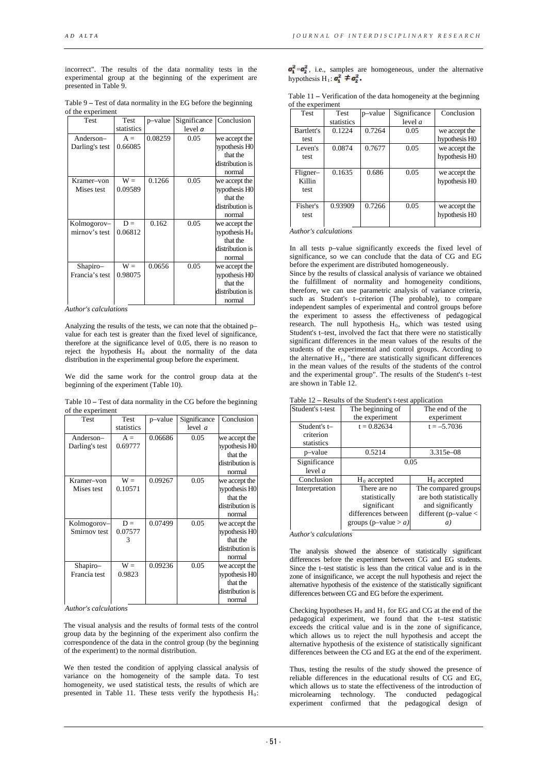incorrect". The results of the data normality tests in the experimental group at the beginning of the experiment are presented in Table 9.

Table 9 **–** Test of data normality in the EG before the beginning of the experiment

| <b>Test</b>    | Test       | p-value | Significance | Conclusion       |
|----------------|------------|---------|--------------|------------------|
|                | statistics |         | level a      |                  |
| Anderson-      | $A =$      | 0.08259 | 0.05         | we accept the    |
| Darling's test | 0.66085    |         |              | nypothesis HO    |
|                |            |         |              | that the         |
|                |            |         |              | distribution is  |
|                |            |         |              | normal           |
| Kramer-von     | $W =$      | 0.1266  | 0.05         | we accept the    |
| Mises test     | 0.09589    |         |              | nypothesis HO    |
|                |            |         |              | that the         |
|                |            |         |              | distribution is  |
|                |            |         |              | normal           |
| Kolmogorov-    | $D =$      | 0.162   | 0.05         | we accept the    |
| mirnov's test  | 0.06812    |         |              | hypothesis $H_0$ |
|                |            |         |              | that the         |
|                |            |         |              | distribution is  |
|                |            |         |              | normal           |
| Shapiro-       | $W =$      | 0.0656  | 0.05         | we accept the    |
| Francia's test | 0.98075    |         |              | hypothesis H0    |
|                |            |         |              | that the         |
|                |            |         |              | distribution is  |
|                |            |         |              | normal           |

*Author's calculations*

Analyzing the results of the tests, we can note that the obtained p– value for each test is greater than the fixed level of significance, therefore at the significance level of 0.05, there is no reason to reject the hypothesis  $H_0$  about the normality of the data distribution in the experimental group before the experiment.

We did the same work for the control group data at the beginning of the experiment (Table 10).

Table 10 **–** Test of data normality in the CG before the beginning of the experiment

| Test           | Test       | p-value | Significance | Conclusion      |
|----------------|------------|---------|--------------|-----------------|
|                | statistics |         | level $a$    |                 |
| Anderson-      | $A =$      | 0.06686 | 0.05         | we accept the   |
| Darling's test | 0.69777    |         |              | nypothesis H0   |
|                |            |         |              | that the        |
|                |            |         |              | distribution is |
|                |            |         |              | normal          |
| Kramer–von     | $W =$      | 0.09267 | 0.05         | we accept the   |
| Mises test     | 0.10571    |         |              | nypothesis H0   |
|                |            |         |              | that the        |
|                |            |         |              | distribution is |
|                |            |         |              | normal          |
| Kolmogorov-    | $D =$      | 0.07499 | 0.05         | we accept the   |
| Smirnov test   | 0.07577    |         |              | nypothesis H0   |
|                | 3          |         |              | that the        |
|                |            |         |              | distribution is |
|                |            |         |              | normal          |
| Shapiro-       | $W =$      | 0.09236 | 0.05         | we accept the   |
| Francia test   | 0.9823     |         |              | hypothesis H0   |
|                |            |         |              | that the        |
|                |            |         |              | distribution is |
|                |            |         |              | normal          |

*Author's calculations*

The visual analysis and the results of formal tests of the control group data by the beginning of the experiment also confirm the correspondence of the data in the control group (by the beginning of the experiment) to the normal distribution.

We then tested the condition of applying classical analysis of variance on the homogeneity of the sample data. To test homogeneity, we used statistical tests, the results of which are presented in Table 11. These tests verify the hypothesis  $H_0$ :

 $\sigma_1^2 = \sigma_2^2$ , i.e., samples are homogeneous, under the alternative hypothesis H<sub>1</sub>:  $\sigma_1^2 \neq \sigma_2^2$ .

|            | of the experiment |         |              |               |
|------------|-------------------|---------|--------------|---------------|
| Test       | Test              | p-value | Significance | Conclusion    |
|            | statistics        |         | level $a$    |               |
| Bartlett's | 0.1224            | 0.7264  | 0.05         | we accept the |
| test       |                   |         |              | hypothesis H0 |
| Leven's    | 0.0874            | 0.7677  | 0.05         | we accept the |
| test       |                   |         |              | hypothesis H0 |
|            |                   |         |              |               |
| Fligner-   | 0.1635            | 0.686   | 0.05         | we accept the |
| Killin     |                   |         |              | hypothesis H0 |
| test       |                   |         |              |               |
|            |                   |         |              |               |
| Fisher's   | 0.93909           | 0.7266  | 0.05         | we accept the |
| test       |                   |         |              | hypothesis HO |
|            |                   |         |              |               |

Table 11 **–** Verification of the data homogeneity at the beginning of the experiment

*Author's calculations*

In all tests p–value significantly exceeds the fixed level of significance, so we can conclude that the data of CG and EG before the experiment are distributed homogeneously.

Since by the results of classical analysis of variance we obtained the fulfillment of normality and homogeneity conditions, therefore, we can use parametric analysis of variance criteria, such as Student's t–criterion (The probable), to compare independent samples of experimental and control groups before the experiment to assess the effectiveness of pedagogical research. The null hypothesis  $H_0$ , which was tested using Student's t–test, involved the fact that there were no statistically significant differences in the mean values of the results of the students of the experimental and control groups. According to the alternative  $H_1$ , "there are statistically significant differences in the mean values of the results of the students of the control and the experimental group". The results of the Student's t–test are shown in Table 12.

Table 12 **–** Results of the Student's t-test application

| Student's t-test          | The beginning of                                                                               | The end of the                                                                                 |  |
|---------------------------|------------------------------------------------------------------------------------------------|------------------------------------------------------------------------------------------------|--|
|                           | the experiment                                                                                 | experiment                                                                                     |  |
| Student's t-              | $t = 0.82634$                                                                                  | $t = -5.7036$                                                                                  |  |
| criterion<br>statistics   |                                                                                                |                                                                                                |  |
| p-value                   | 0.5214                                                                                         | 3.315e-08                                                                                      |  |
| Significance<br>level $a$ | 0.05                                                                                           |                                                                                                |  |
| Conclusion                | $H_0$ accepted                                                                                 | $H_0$ accepted                                                                                 |  |
| Interpretation            | There are no<br>statistically<br>significant<br>differences between<br>groups (p-value $> a$ ) | The compared groups<br>are both statistically<br>and significantly<br>different ( $p$ -value < |  |

*Author's calculations*

The analysis showed the absence of statistically significant differences before the experiment between CG and EG students. Since the t–test statistic is less than the critical value and is in the zone of insignificance, we accept the null hypothesis and reject the alternative hypothesis of the existence of the statistically significant differences between CG and EG before the experiment.

Checking hypotheses  $H_0$  and  $H_1$  for EG and CG at the end of the pedagogical experiment, we found that the t–test statistic exceeds the critical value and is in the zone of significance, which allows us to reject the null hypothesis and accept the alternative hypothesis of the existence of statistically significant differences between the CG and EG at the end of the experiment.

Thus, testing the results of the study showed the presence of reliable differences in the educational results of CG and EG, which allows us to state the effectiveness of the introduction of microlearning technology. The conducted pedagogical experiment confirmed that the pedagogical design of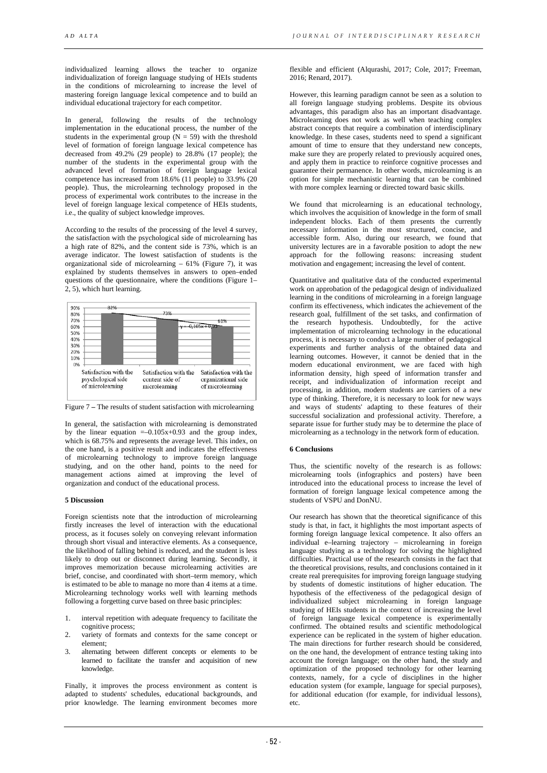individualized learning allows the teacher to organize individualization of foreign language studying of HEIs students in the conditions of microlearning to increase the level of mastering foreign language lexical competence and to build an individual educational trajectory for each competitor.

In general, following the results of the technology implementation in the educational process, the number of the students in the experimental group  $(N = 59)$  with the threshold level of formation of foreign language lexical competence has decreased from 49.2% (29 people) to 28.8% (17 people); the number of the students in the experimental group with the advanced level of formation of foreign language lexical competence has increased from 18.6% (11 people) to 33.9% (20 people). Thus, the microlearning technology proposed in the process of experimental work contributes to the increase in the level of foreign language lexical competence of HEIs students, i.e., the quality of subject knowledge improves.

According to the results of the processing of the level 4 survey, the satisfaction with the psychological side of microlearning has a high rate of 82%, and the content side is 73%, which is an average indicator. The lowest satisfaction of students is the organizational side of microlearning – 61% (Figure 7), it was explained by students themselves in answers to open–ended questions of the questionnaire, where the conditions (Figure 1– 2, 5), which hurt learning.



Figure 7 **–** The results of student satisfaction with microlearning

In general, the satisfaction with microlearning is demonstrated by the linear equation  $=-0.105x+0.93$  and the group index, which is 68.75% and represents the average level. This index, on the one hand, is a positive result and indicates the effectiveness of microlearning technology to improve foreign language studying, and on the other hand, points to the need for management actions aimed at improving the level of organization and conduct of the educational process.

## **5 Discussion**

Foreign scientists note that the introduction of microlearning firstly increases the level of interaction with the educational process, as it focuses solely on conveying relevant information through short visual and interactive elements. As a consequence, the likelihood of falling behind is reduced, and the student is less likely to drop out or disconnect during learning. Secondly, it improves memorization because microlearning activities are brief, concise, and coordinated with short–term memory, which is estimated to be able to manage no more than 4 items at a time. Microlearning technology works well with learning methods following a forgetting curve based on three basic principles:

- 1. interval repetition with adequate frequency to facilitate the cognitive process;
- 2. variety of formats and contexts for the same concept or element;
- 3. alternating between different concepts or elements to be learned to facilitate the transfer and acquisition of new knowledge.

Finally, it improves the process environment as content is adapted to students' schedules, educational backgrounds, and prior knowledge. The learning environment becomes more flexible and efficient (Alqurashi, 2017; Cole, 2017; Freeman, 2016; Renard, 2017).

However, this learning paradigm cannot be seen as a solution to all foreign language studying problems. Despite its obvious advantages, this paradigm also has an important disadvantage. Microlearning does not work as well when teaching complex abstract concepts that require a combination of interdisciplinary knowledge. In these cases, students need to spend a significant amount of time to ensure that they understand new concepts, make sure they are properly related to previously acquired ones, and apply them in practice to reinforce cognitive processes and guarantee their permanence. In other words, microlearning is an option for simple mechanistic learning that can be combined with more complex learning or directed toward basic skills.

We found that microlearning is an educational technology, which involves the acquisition of knowledge in the form of small independent blocks. Each of them presents the currently necessary information in the most structured, concise, and accessible form. Also, during our research, we found that university lectures are in a favorable position to adopt the new approach for the following reasons: increasing student motivation and engagement; increasing the level of content.

Quantitative and qualitative data of the conducted experimental work on approbation of the pedagogical design of individualized learning in the conditions of microlearning in a foreign language confirm its effectiveness, which indicates the achievement of the research goal, fulfillment of the set tasks, and confirmation of the research hypothesis. Undoubtedly, for the active implementation of microlearning technology in the educational process, it is necessary to conduct a large number of pedagogical experiments and further analysis of the obtained data and learning outcomes. However, it cannot be denied that in the modern educational environment, we are faced with high information density, high speed of information transfer and receipt, and individualization of information receipt and processing, in addition, modern students are carriers of a new type of thinking. Therefore, it is necessary to look for new ways and ways of students' adapting to these features of their successful socialization and professional activity. Therefore, a separate issue for further study may be to determine the place of microlearning as a technology in the network form of education.

#### **6 Conclusions**

Thus, the scientific novelty of the research is as follows: microlearning tools (infographics and posters) have been introduced into the educational process to increase the level of formation of foreign language lexical competence among the students of VSPU and DonNU.

Our research has shown that the theoretical significance of this study is that, in fact, it highlights the most important aspects of forming foreign language lexical competence. It also offers an individual e–learning trajectory – microlearning in foreign language studying as a technology for solving the highlighted difficulties. Practical use of the research consists in the fact that the theoretical provisions, results, and conclusions contained in it create real prerequisites for improving foreign language studying by students of domestic institutions of higher education. The hypothesis of the effectiveness of the pedagogical design of individualized subject microlearning in foreign language studying of HEIs students in the context of increasing the level of foreign language lexical competence is experimentally confirmed. The obtained results and scientific methodological experience can be replicated in the system of higher education. The main directions for further research should be considered, on the one hand, the development of entrance testing taking into account the foreign language; on the other hand, the study and optimization of the proposed technology for other learning contexts, namely, for a cycle of disciplines in the higher education system (for example, language for special purposes), for additional education (for example, for individual lessons), etc.